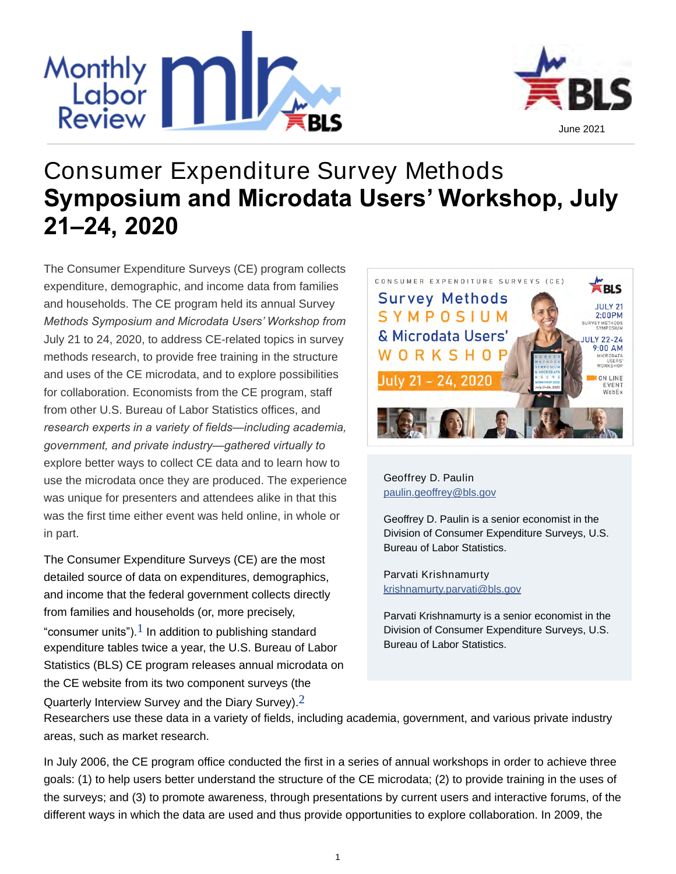



# **Consumer Expenditure Survey Methods Symposium and Microdata Users' Workshop, July 21–24, 2020**

*The Consumer Expenditure Surveys (CE) program collects expenditure, demographic, and income data from families and households. The CE program held its annual Survey Methods Symposium and Microdata Users' Workshop from July 21 to 24, 2020, to address CE-related topics in survey methods research, to provide free training in the structure and uses of the CE microdata, and to explore possibilities for collaboration. Economists from the CE program, staff from other U.S. Bureau of Labor Statistics offices, and research experts in a variety of fields—including academia, government, and private industry—gathered virtually to explore better ways to collect CE data and to learn how to use the microdata once they are produced. The experience was unique for presenters and attendees alike in that this was the first time either event was held online, in whole or in part.*

<span id="page-0-0"></span>The Consumer Expenditure Surveys (CE) are the most detailed source of data on expenditures, demographics, and income that the federal government collects directly from families and households (or, more precisely, "consumer units"). $1$  In addition to publishing standard expenditure tables twice a year, the U.S. Bureau of Labor Statistics (BLS) CE program releases annual microdata on the CE website from its two component surveys (the Quarterly Interview Survey and the Diary Survey).<sup>[2](#page-11-1)</sup>



### **[Geoffrey D. Paulin](http://www.bls.gov/opub/mlr/author/paulin-geoffrey-d.htm)** [paulin.geoffrey@bls.gov](mailto:paulin.geoffrey@bls.gov)

Geoffrey D. Paulin is a senior economist in the Division of Consumer Expenditure Surveys, U.S. Bureau of Labor Statistics.

**[Parvati Krishnamurty](http://www.bls.gov/opub/mlr/author/krishnamurty-parvati.htm)** [krishnamurty.parvati@bls.gov](mailto:krishnamurty.parvati@bls.gov)

<span id="page-0-1"></span>Parvati Krishnamurty is a senior economist in the Division of Consumer Expenditure Surveys, U.S. Bureau of Labor Statistics.

Researchers use these data in a variety of fields, including academia, government, and various private industry areas, such as market research.

In July 2006, the CE program office conducted the first in a series of annual workshops in order to achieve three goals: (1) to help users better understand the structure of the CE microdata; (2) to provide training in the uses of the surveys; and (3) to promote awareness, through presentations by current users and interactive forums, of the different ways in which the data are used and thus provide opportunities to explore collaboration. In 2009, the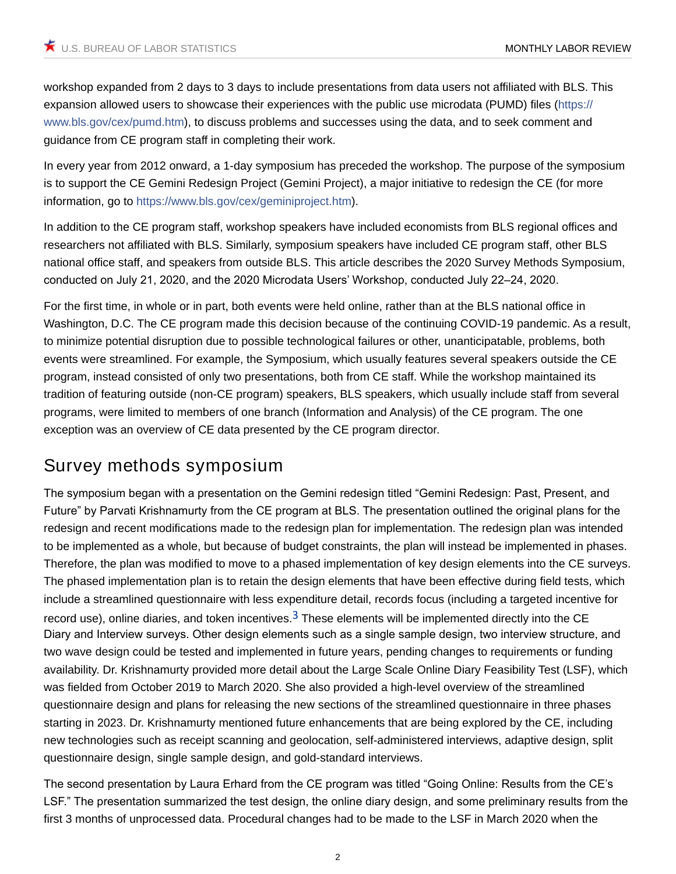workshop expanded from 2 days to 3 days to include presentations from data users not affiliated with BLS. This expansion allowed users to showcase their experiences with the public use microdata (PUMD) files ([https://](https://www.bls.gov/cex/pumd.htm) [www.bls.gov/cex/pumd.htm\)](https://www.bls.gov/cex/pumd.htm), to discuss problems and successes using the data, and to seek comment and guidance from CE program staff in completing their work.

In every year from 2012 onward, a 1-day symposium has preceded the workshop. The purpose of the symposium is to support the CE Gemini Redesign Project (Gemini Project), a major initiative to redesign the CE (for more information, go to <https://www.bls.gov/cex/geminiproject.htm>).

In addition to the CE program staff, workshop speakers have included economists from BLS regional offices and researchers not affiliated with BLS. Similarly, symposium speakers have included CE program staff, other BLS national office staff, and speakers from outside BLS. This article describes the 2020 Survey Methods Symposium, conducted on July 21, 2020, and the 2020 Microdata Users' Workshop, conducted July 22–24, 2020.

For the first time, in whole or in part, both events were held online, rather than at the BLS national office in Washington, D.C. The CE program made this decision because of the continuing COVID-19 pandemic. As a result, to minimize potential disruption due to possible technological failures or other, unanticipatable, problems, both events were streamlined. For example, the Symposium, which usually features several speakers outside the CE program, instead consisted of only two presentations, both from CE staff. While the workshop maintained its tradition of featuring outside (non-CE program) speakers, BLS speakers, which usually include staff from several programs, were limited to members of one branch (Information and Analysis) of the CE program. The one exception was an overview of CE data presented by the CE program director.

# **Survey methods symposium**

<span id="page-1-0"></span>The symposium began with a presentation on the Gemini redesign titled "Gemini Redesign: Past, Present, and Future" by Parvati Krishnamurty from the CE program at BLS. The presentation outlined the original plans for the redesign and recent modifications made to the redesign plan for implementation. The redesign plan was intended to be implemented as a whole, but because of budget constraints, the plan will instead be implemented in phases. Therefore, the plan was modified to move to a phased implementation of key design elements into the CE surveys. The phased implementation plan is to retain the design elements that have been effective during field tests, which include a streamlined questionnaire with less expenditure detail, records focus (including a targeted incentive for record use), online diaries, and token incentives.<sup>[3](#page-11-2)</sup> These elements will be implemented directly into the CE Diary and Interview surveys. Other design elements such as a single sample design, two interview structure, and two wave design could be tested and implemented in future years, pending changes to requirements or funding availability. Dr. Krishnamurty provided more detail about the Large Scale Online Diary Feasibility Test (LSF), which was fielded from October 2019 to March 2020. She also provided a high-level overview of the streamlined questionnaire design and plans for releasing the new sections of the streamlined questionnaire in three phases starting in 2023. Dr. Krishnamurty mentioned future enhancements that are being explored by the CE, including new technologies such as receipt scanning and geolocation, self-administered interviews, adaptive design, split questionnaire design, single sample design, and gold-standard interviews.

The second presentation by Laura Erhard from the CE program was titled "Going Online: Results from the CE's LSF." The presentation summarized the test design, the online diary design, and some preliminary results from the first 3 months of unprocessed data. Procedural changes had to be made to the LSF in March 2020 when the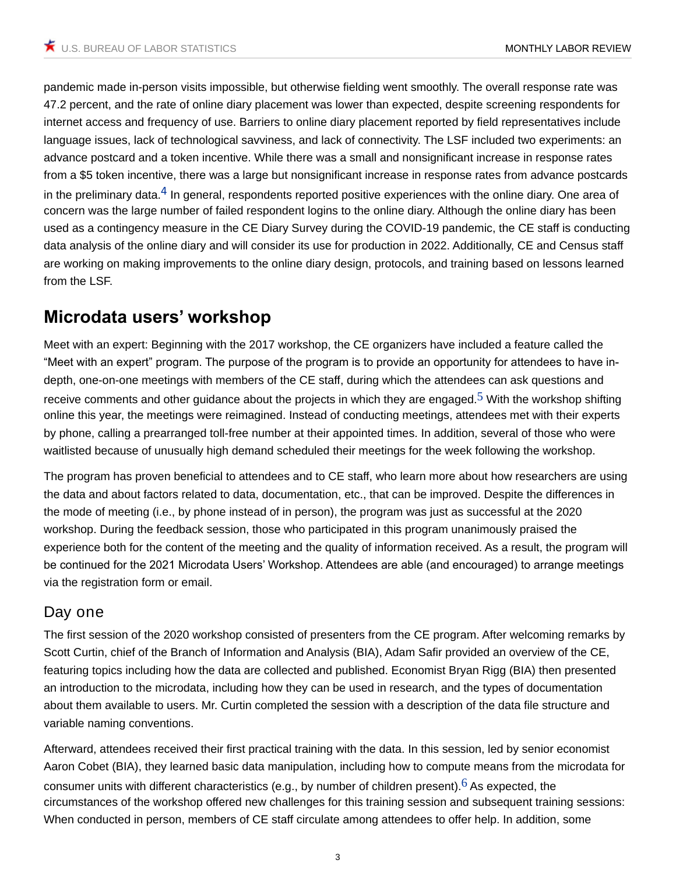<span id="page-2-0"></span>pandemic made in-person visits impossible, but otherwise fielding went smoothly. The overall response rate was 47.2 percent, and the rate of online diary placement was lower than expected, despite screening respondents for internet access and frequency of use. Barriers to online diary placement reported by field representatives include language issues, lack of technological savviness, and lack of connectivity. The LSF included two experiments: an advance postcard and a token incentive. While there was a small and nonsignificant increase in response rates from a \$5 token incentive, there was a large but nonsignificant increase in response rates from advance postcards in the preliminary data. $4$  In general, respondents reported positive experiences with the online diary. One area of concern was the large number of failed respondent logins to the online diary. Although the online diary has been used as a contingency measure in the CE Diary Survey during the COVID-19 pandemic, the CE staff is conducting data analysis of the online diary and will consider its use for production in 2022. Additionally, CE and Census staff are working on making improvements to the online diary design, protocols, and training based on lessons learned from the LSF.

# **Microdata users' workshop**

<span id="page-2-1"></span>*Meet with an expert:* Beginning with the 2017 workshop, the CE organizers have included a feature called the "Meet with an expert" program. The purpose of the program is to provide an opportunity for attendees to have indepth, one-on-one meetings with members of the CE staff, during which the attendees can ask questions and receive comments and other guidance about the projects in which they are engaged.<sup>[5](#page-11-4)</sup> With the workshop shifting online this year, the meetings were reimagined. Instead of conducting meetings, attendees met with their experts by phone, calling a prearranged toll-free number at their appointed times. In addition, several of those who were waitlisted because of unusually high demand scheduled their meetings for the week following the workshop.

The program has proven beneficial to attendees and to CE staff, who learn more about how researchers are using the data and about factors related to data, documentation, etc., that can be improved. Despite the differences in the mode of meeting (i.e., by phone instead of in person), the program was just as successful at the 2020 workshop. During the feedback session, those who participated in this program unanimously praised the experience both for the content of the meeting and the quality of information received. As a result, the program will be continued for the 2021 Microdata Users' Workshop. Attendees are able (and encouraged) to arrange meetings via the registration form or email.

### **Day one**

The first session of the 2020 workshop consisted of presenters from the CE program. After welcoming remarks by Scott Curtin, chief of the Branch of Information and Analysis (BIA), Adam Safir provided an overview of the CE, featuring topics including how the data are collected and published. Economist Bryan Rigg (BIA) then presented an introduction to the microdata, including how they can be used in research, and the types of documentation about them available to users. Mr. Curtin completed the session with a description of the data file structure and variable naming conventions.

<span id="page-2-2"></span>Afterward, attendees received their first practical training with the data. In this session, led by senior economist Aaron Cobet (BIA), they learned basic data manipulation, including how to compute means from the microdata for consumer units with different characteristics (e.g., by number of children present).  $6$  As expected, the circumstances of the workshop offered new challenges for this training session and subsequent training sessions: When conducted in person, members of CE staff circulate among attendees to offer help. In addition, some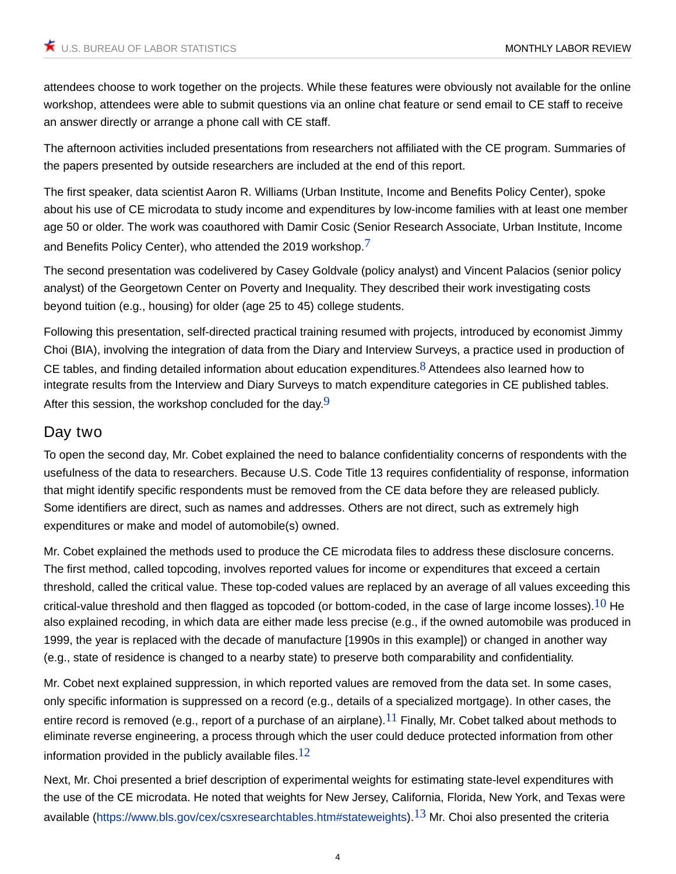attendees choose to work together on the projects. While these features were obviously not available for the online workshop, attendees were able to submit questions via an online chat feature or send email to CE staff to receive an answer directly or arrange a phone call with CE staff.

The afternoon activities included presentations from researchers not affiliated with the CE program. Summaries of the papers presented by outside researchers are included at the end of this report.

The first speaker, data scientist Aaron R. Williams (Urban Institute, Income and Benefits Policy Center), spoke about his use of CE microdata to study income and expenditures by low-income families with at least one member age 50 or older. The work was coauthored with Damir Cosic (Senior Research Associate, Urban Institute, Income and Benefits Policy Center), who attended the 2019 workshop.<sup>[7](#page-11-6)</sup>

<span id="page-3-0"></span>The second presentation was codelivered by Casey Goldvale (policy analyst) and Vincent Palacios (senior policy analyst) of the Georgetown Center on Poverty and Inequality. They described their work investigating costs beyond tuition (e.g., housing) for older (age 25 to 45) college students.

<span id="page-3-1"></span>Following this presentation, self-directed practical training resumed with projects, introduced by economist Jimmy Choi (BIA), involving the integration of data from the Diary and Interview Surveys, a practice used in production of CE tables, and finding detailed information about education expenditures.<sup>[8](#page-11-7)</sup> Attendees also learned how to integrate results from the Interview and Diary Surveys to match expenditure categories in CE published tables. After this session, the workshop concluded for the day  $9$ 

### <span id="page-3-2"></span>**Day two**

To open the second day, Mr. Cobet explained the need to balance confidentiality concerns of respondents with the usefulness of the data to researchers. Because U.S. Code Title 13 requires confidentiality of response, information that might identify specific respondents must be removed from the CE data before they are released publicly. Some identifiers are direct, such as names and addresses. Others are not direct, such as extremely high expenditures or make and model of automobile(s) owned.

<span id="page-3-3"></span>Mr. Cobet explained the methods used to produce the CE microdata files to address these disclosure concerns. The first method, called topcoding, involves reported values for income or expenditures that exceed a certain threshold, called the critical value. These top-coded values are replaced by an average of all values exceeding this critical-value threshold and then flagged as topcoded (or bottom-coded, in the case of large income losses).  $10$  He also explained recoding, in which data are either made less precise (e.g., if the owned automobile was produced in 1999, the year is replaced with the decade of manufacture [1990s in this example]) or changed in another way (e.g., state of residence is changed to a nearby state) to preserve both comparability and confidentiality.

<span id="page-3-4"></span>Mr. Cobet next explained suppression, in which reported values are removed from the data set. In some cases, only specific information is suppressed on a record (e.g., details of a specialized mortgage). In other cases, the entire record is removed (e.g., report of a purchase of an airplane).<sup>[11](#page-12-2)</sup> Finally, Mr. Cobet talked about methods to eliminate reverse engineering, a process through which the user could deduce protected information from other information provided in the publicly available files.<sup>[12](#page-12-3)</sup>

<span id="page-3-6"></span><span id="page-3-5"></span>Next, Mr. Choi presented a brief description of experimental weights for estimating state-level expenditures with the use of the CE microdata. He noted that weights for New Jersey, California, Florida, New York, and Texas were available ([https://www.bls.gov/cex/csxresearchtables.htm#stateweights\)](https://www.bls.gov/cex/csxresearchtables.htm#stateweights).<sup>[13](#page-12-4)</sup> Mr. Choi also presented the criteria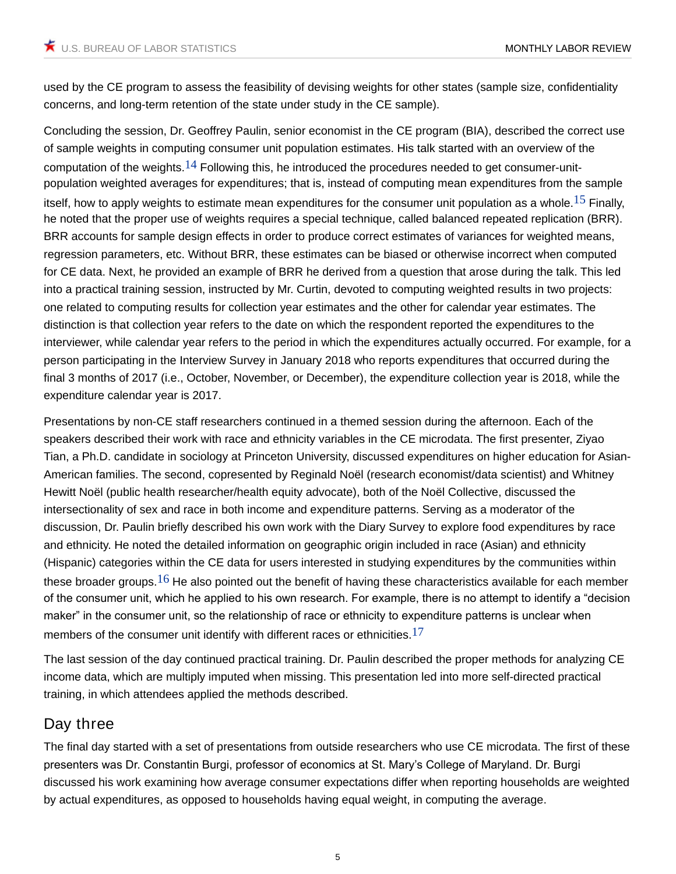used by the CE program to assess the feasibility of devising weights for other states (sample size, confidentiality concerns, and long-term retention of the state under study in the CE sample).

<span id="page-4-1"></span><span id="page-4-0"></span>Concluding the session, Dr. Geoffrey Paulin, senior economist in the CE program (BIA), described the correct use of sample weights in computing consumer unit population estimates. His talk started with an overview of the computation of the weights.<sup>[14](#page-12-5)</sup> Following this, he introduced the procedures needed to get consumer-unitpopulation weighted averages for expenditures; that is, instead of computing mean expenditures from the sample itself, how to apply weights to estimate mean expenditures for the consumer unit population as a whole.<sup>[15](#page-12-6)</sup> Finally, he noted that the proper use of weights requires a special technique, called balanced repeated replication (BRR). BRR accounts for sample design effects in order to produce correct estimates of variances for weighted means, regression parameters, etc. Without BRR, these estimates can be biased or otherwise incorrect when computed for CE data. Next, he provided an example of BRR he derived from a question that arose during the talk. This led into a practical training session, instructed by Mr. Curtin, devoted to computing weighted results in two projects: one related to computing results for collection year estimates and the other for calendar year estimates. The distinction is that collection year refers to the date on which the respondent reported the expenditures to the interviewer, while calendar year refers to the period in which the expenditures actually occurred. For example, for a person participating in the Interview Survey in January 2018 who reports expenditures that occurred during the final 3 months of 2017 (i.e., October, November, or December), the expenditure collection year is 2018, while the expenditure calendar year is 2017.

Presentations by non-CE staff researchers continued in a themed session during the afternoon. Each of the speakers described their work with race and ethnicity variables in the CE microdata. The first presenter, Ziyao Tian, a Ph.D. candidate in sociology at Princeton University, discussed expenditures on higher education for Asian-American families. The second, copresented by Reginald Noël (research economist/data scientist) and Whitney Hewitt Noël (public health researcher/health equity advocate), both of the Noël Collective, discussed the intersectionality of sex and race in both income and expenditure patterns. Serving as a moderator of the discussion, Dr. Paulin briefly described his own work with the Diary Survey to explore food expenditures by race and ethnicity. He noted the detailed information on geographic origin included in race (Asian) and ethnicity (Hispanic) categories within the CE data for users interested in studying expenditures by the communities within these broader groups.<sup>[16](#page-12-7)</sup> He also pointed out the benefit of having these characteristics available for each member of the consumer unit, which he applied to his own research. For example, there is no attempt to identify a "decision maker" in the consumer unit, so the relationship of race or ethnicity to expenditure patterns is unclear when members of the consumer unit identify with different races or ethnicities. $17$ 

<span id="page-4-3"></span><span id="page-4-2"></span>The last session of the day continued practical training. Dr. Paulin described the proper methods for analyzing CE income data, which are multiply imputed when missing. This presentation led into more self-directed practical training, in which attendees applied the methods described.

### **Day three**

The final day started with a set of presentations from outside researchers who use CE microdata. The first of these presenters was Dr. Constantin Burgi, professor of economics at St. Mary's College of Maryland. Dr. Burgi discussed his work examining how average consumer expectations differ when reporting households are weighted by actual expenditures, as opposed to households having equal weight, in computing the average.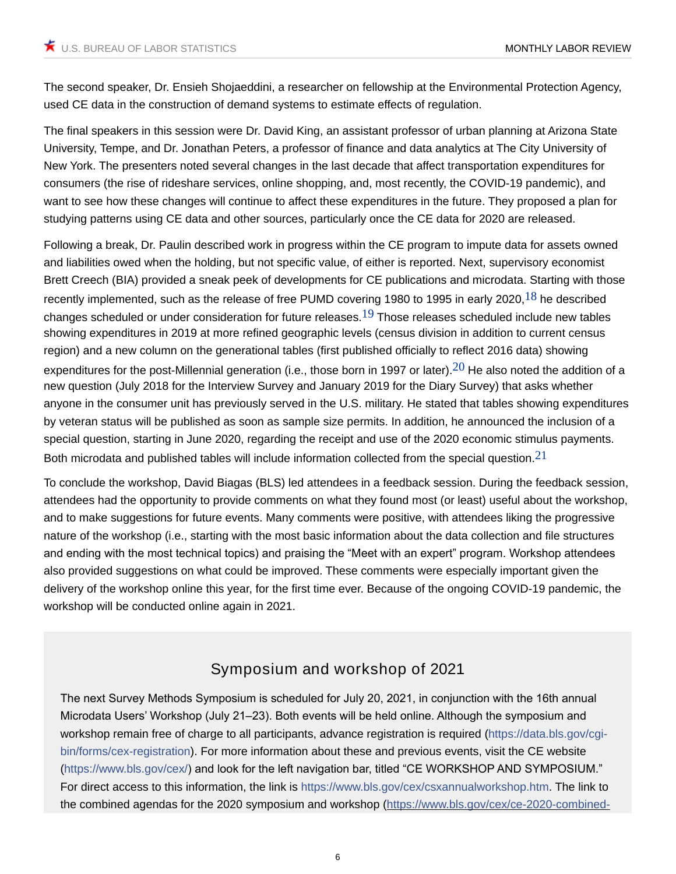The second speaker, Dr. Ensieh Shojaeddini, a researcher on fellowship at the Environmental Protection Agency, used CE data in the construction of demand systems to estimate effects of regulation.

The final speakers in this session were Dr. David King, an assistant professor of urban planning at Arizona State University, Tempe, and Dr. Jonathan Peters, a professor of finance and data analytics at The City University of New York. The presenters noted several changes in the last decade that affect transportation expenditures for consumers (the rise of rideshare services, online shopping, and, most recently, the COVID-19 pandemic), and want to see how these changes will continue to affect these expenditures in the future. They proposed a plan for studying patterns using CE data and other sources, particularly once the CE data for 2020 are released.

<span id="page-5-1"></span><span id="page-5-0"></span>Following a break, Dr. Paulin described work in progress within the CE program to impute data for assets owned and liabilities owed when the holding, but not specific value, of either is reported. Next, supervisory economist Brett Creech (BIA) provided a sneak peek of developments for CE publications and microdata. Starting with those recently implemented, such as the release of free PUMD covering 1980 to 1995 in early 2020.<sup>[18](#page-12-9)</sup> he described changes scheduled or under consideration for future releases.<sup>[19](#page-13-0)</sup> Those releases scheduled include new tables showing expenditures in 2019 at more refined geographic levels (census division in addition to current census region) and a new column on the generational tables (first published officially to reflect 2016 data) showing expenditures for the post-Millennial generation (i.e., those born in 1997 or later).<sup>[20](#page-13-1)</sup> He also noted the addition of a new question (July 2018 for the Interview Survey and January 2019 for the Diary Survey) that asks whether anyone in the consumer unit has previously served in the U.S. military. He stated that tables showing expenditures by veteran status will be published as soon as sample size permits. In addition, he announced the inclusion of a special question, starting in June 2020, regarding the receipt and use of the 2020 economic stimulus payments. Both microdata and published tables will include information collected from the special question.  $21$ 

To conclude the workshop, David Biagas (BLS) led attendees in a feedback session. During the feedback session, attendees had the opportunity to provide comments on what they found most (or least) useful about the workshop, and to make suggestions for future events. Many comments were positive, with attendees liking the progressive nature of the workshop (i.e., starting with the most basic information about the data collection and file structures and ending with the most technical topics) and praising the "Meet with an expert" program. Workshop attendees also provided suggestions on what could be improved. These comments were especially important given the delivery of the workshop online this year, for the first time ever. Because of the ongoing COVID-19 pandemic, the workshop will be conducted online again in 2021.

## <span id="page-5-3"></span><span id="page-5-2"></span>**Symposium and workshop of 2021**

The next Survey Methods Symposium is scheduled for July 20, 2021, in conjunction with the 16th annual Microdata Users' Workshop (July 21–23). Both events will be held online. Although the symposium and workshop remain free of charge to all participants, advance registration is required ([https://data.bls.gov/cgi](https://data.bls.gov/cgi-bin/forms/cex-registration)[bin/forms/cex-registration](https://data.bls.gov/cgi-bin/forms/cex-registration)). For more information about these and previous events, visit the CE website [\(https://www.bls.gov/cex/](https://www.bls.gov/cex/)) and look for the left navigation bar, titled "CE WORKSHOP AND SYMPOSIUM." For direct access to this information, the link is <https://www.bls.gov/cex/csxannualworkshop.htm>. The link to the combined agendas for the 2020 symposium and workshop (https://www.bls.gov/cex/ce-2020-combined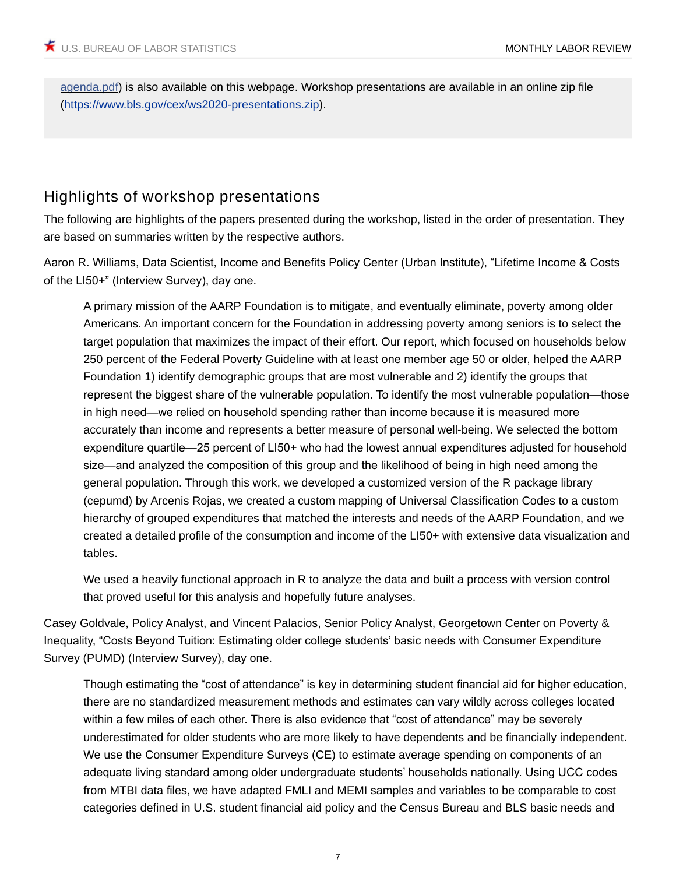agenda.pdf) is also available on this webpage. Workshop presentations are available in an online zip file [\(https://www.bls.gov/cex/ws2020-presentations.zip](https://www.bls.gov/cex/ws2020-presentations.zip)).

### **Highlights of workshop presentations**

The following are highlights of the papers presented during the workshop, listed in the order of presentation. They are based on summaries written by the respective authors.

Aaron R. Williams, Data Scientist, Income and Benefits Policy Center (Urban Institute), "Lifetime Income & Costs of the LI50+" (Interview Survey), day one.

A primary mission of the AARP Foundation is to mitigate, and eventually eliminate, poverty among older Americans. An important concern for the Foundation in addressing poverty among seniors is to select the target population that maximizes the impact of their effort. Our report, which focused on households below 250 percent of the Federal Poverty Guideline with at least one member age 50 or older, helped the AARP Foundation 1) identify demographic groups that are most vulnerable and 2) identify the groups that represent the biggest share of the vulnerable population. To identify the most vulnerable population—those in high need—we relied on household spending rather than income because it is measured more accurately than income and represents a better measure of personal well-being. We selected the bottom expenditure quartile—25 percent of LI50+ who had the lowest annual expenditures adjusted for household size—and analyzed the composition of this group and the likelihood of being in high need among the general population. Through this work, we developed a customized version of the R package library (cepumd) by Arcenis Rojas, we created a custom mapping of Universal Classification Codes to a custom hierarchy of grouped expenditures that matched the interests and needs of the AARP Foundation, and we created a detailed profile of the consumption and income of the LI50+ with extensive data visualization and tables.

We used a heavily functional approach in R to analyze the data and built a process with version control that proved useful for this analysis and hopefully future analyses.

Casey Goldvale, Policy Analyst, and Vincent Palacios, Senior Policy Analyst, Georgetown Center on Poverty & Inequality, "Costs Beyond Tuition: Estimating older college students' basic needs with Consumer Expenditure Survey (PUMD) (Interview Survey), day one.

Though estimating the "cost of attendance" is key in determining student financial aid for higher education, there are no standardized measurement methods and estimates can vary wildly across colleges located within a few miles of each other. There is also evidence that "cost of attendance" may be severely underestimated for older students who are more likely to have dependents and be financially independent. We use the Consumer Expenditure Surveys (CE) to estimate average spending on components of an adequate living standard among older undergraduate students' households nationally. Using UCC codes from MTBI data files, we have adapted FMLI and MEMI samples and variables to be comparable to cost categories defined in U.S. student financial aid policy and the Census Bureau and BLS basic needs and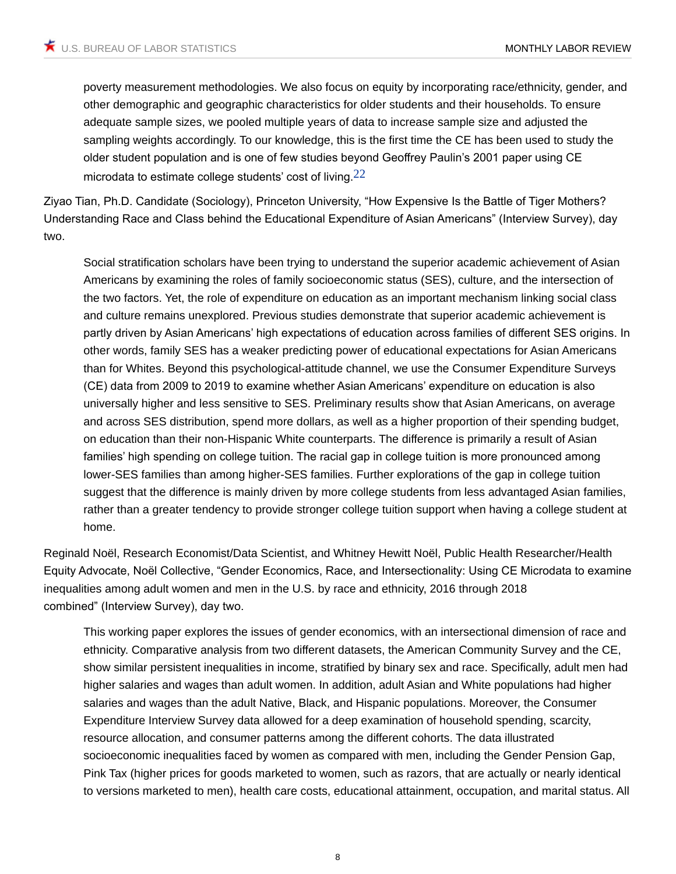<span id="page-7-0"></span>poverty measurement methodologies. We also focus on equity by incorporating race/ethnicity, gender, and other demographic and geographic characteristics for older students and their households. To ensure adequate sample sizes, we pooled multiple years of data to increase sample size and adjusted the sampling weights accordingly. To our knowledge, this is the first time the CE has been used to study the older student population and is one of few studies beyond Geoffrey Paulin's 2001 paper using CE microdata to estimate college students' cost of living.<sup>[22](#page-13-3)</sup>

Ziyao Tian, Ph.D. Candidate (Sociology), Princeton University, "How Expensive Is the Battle of Tiger Mothers? Understanding Race and Class behind the Educational Expenditure of Asian Americans" (Interview Survey), day two.

Social stratification scholars have been trying to understand the superior academic achievement of Asian Americans by examining the roles of family socioeconomic status (SES), culture, and the intersection of the two factors. Yet, the role of expenditure on education as an important mechanism linking social class and culture remains unexplored. Previous studies demonstrate that superior academic achievement is partly driven by Asian Americans' high expectations of education across families of different SES origins. In other words, family SES has a weaker predicting power of educational expectations for Asian Americans than for Whites. Beyond this psychological-attitude channel, we use the Consumer Expenditure Surveys (CE) data from 2009 to 2019 to examine whether Asian Americans' expenditure on education is also universally higher and less sensitive to SES. Preliminary results show that Asian Americans, on average and across SES distribution, spend more dollars, as well as a higher proportion of their spending budget, on education than their non-Hispanic White counterparts. The difference is primarily a result of Asian families' high spending on college tuition. The racial gap in college tuition is more pronounced among lower-SES families than among higher-SES families. Further explorations of the gap in college tuition suggest that the difference is mainly driven by more college students from less advantaged Asian families, rather than a greater tendency to provide stronger college tuition support when having a college student at home.

Reginald Noël, Research Economist/Data Scientist, and Whitney Hewitt Noël, Public Health Researcher/Health Equity Advocate, Noël Collective, "Gender Economics, Race, and Intersectionality: Using CE Microdata to examine inequalities among adult women and men in the U.S. by race and ethnicity, 2016 through 2018 combined" (Interview Survey), day two.

This working paper explores the issues of gender economics, with an intersectional dimension of race and ethnicity. Comparative analysis from two different datasets, the American Community Survey and the CE, show similar persistent inequalities in income, stratified by binary sex and race. Specifically, adult men had higher salaries and wages than adult women. In addition, adult Asian and White populations had higher salaries and wages than the adult Native, Black, and Hispanic populations. Moreover, the Consumer Expenditure Interview Survey data allowed for a deep examination of household spending, scarcity, resource allocation, and consumer patterns among the different cohorts. The data illustrated socioeconomic inequalities faced by women as compared with men, including the Gender Pension Gap, Pink Tax (higher prices for goods marketed to women, such as razors, that are actually or nearly identical to versions marketed to men), health care costs, educational attainment, occupation, and marital status. All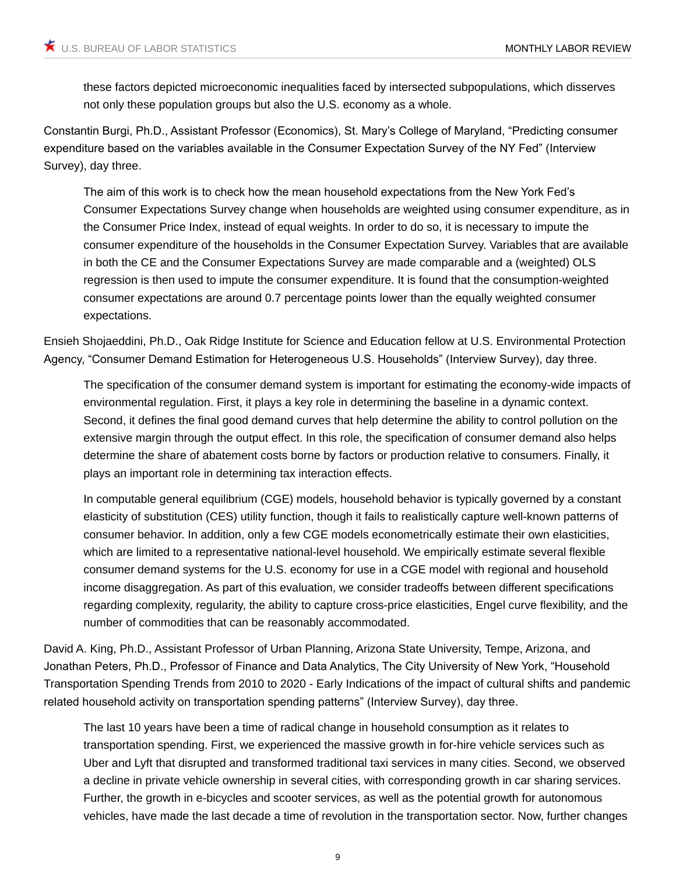these factors depicted microeconomic inequalities faced by intersected subpopulations, which disserves not only these population groups but also the U.S. economy as a whole.

Constantin Burgi, Ph.D., Assistant Professor (Economics), St. Mary's College of Maryland, "Predicting consumer expenditure based on the variables available in the Consumer Expectation Survey of the NY Fed" (Interview Survey), day three.

The aim of this work is to check how the mean household expectations from the New York Fed's Consumer Expectations Survey change when households are weighted using consumer expenditure, as in the Consumer Price Index, instead of equal weights. In order to do so, it is necessary to impute the consumer expenditure of the households in the Consumer Expectation Survey. Variables that are available in both the CE and the Consumer Expectations Survey are made comparable and a (weighted) OLS regression is then used to impute the consumer expenditure. It is found that the consumption-weighted consumer expectations are around 0.7 percentage points lower than the equally weighted consumer expectations.

Ensieh Shojaeddini, Ph.D., Oak Ridge Institute for Science and Education fellow at U.S. Environmental Protection Agency, "Consumer Demand Estimation for Heterogeneous U.S. Households" (Interview Survey), day three.

The specification of the consumer demand system is important for estimating the economy-wide impacts of environmental regulation. First, it plays a key role in determining the baseline in a dynamic context. Second, it defines the final good demand curves that help determine the ability to control pollution on the extensive margin through the output effect. In this role, the specification of consumer demand also helps determine the share of abatement costs borne by factors or production relative to consumers. Finally, it plays an important role in determining tax interaction effects.

In computable general equilibrium (CGE) models, household behavior is typically governed by a constant elasticity of substitution (CES) utility function, though it fails to realistically capture well-known patterns of consumer behavior. In addition, only a few CGE models econometrically estimate their own elasticities, which are limited to a representative national-level household. We empirically estimate several flexible consumer demand systems for the U.S. economy for use in a CGE model with regional and household income disaggregation. As part of this evaluation, we consider tradeoffs between different specifications regarding complexity, regularity, the ability to capture cross-price elasticities, Engel curve flexibility, and the number of commodities that can be reasonably accommodated.

David A. King, Ph.D., Assistant Professor of Urban Planning, Arizona State University, Tempe, Arizona, and Jonathan Peters, Ph.D., Professor of Finance and Data Analytics, The City University of New York, "Household Transportation Spending Trends from 2010 to 2020 - Early Indications of the impact of cultural shifts and pandemic related household activity on transportation spending patterns" (Interview Survey), day three.

The last 10 years have been a time of radical change in household consumption as it relates to transportation spending. First, we experienced the massive growth in for-hire vehicle services such as Uber and Lyft that disrupted and transformed traditional taxi services in many cities. Second, we observed a decline in private vehicle ownership in several cities, with corresponding growth in car sharing services. Further, the growth in e-bicycles and scooter services, as well as the potential growth for autonomous vehicles, have made the last decade a time of revolution in the transportation sector. Now, further changes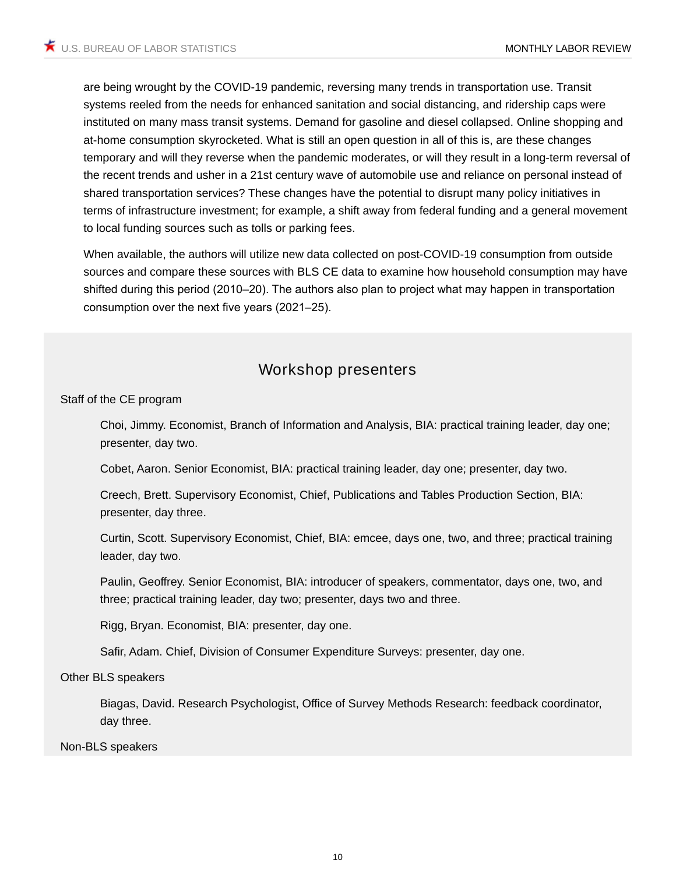are being wrought by the COVID-19 pandemic, reversing many trends in transportation use. Transit systems reeled from the needs for enhanced sanitation and social distancing, and ridership caps were instituted on many mass transit systems. Demand for gasoline and diesel collapsed. Online shopping and at-home consumption skyrocketed. What is still an open question in all of this is, are these changes temporary and will they reverse when the pandemic moderates, or will they result in a long-term reversal of the recent trends and usher in a 21st century wave of automobile use and reliance on personal instead of shared transportation services? These changes have the potential to disrupt many policy initiatives in terms of infrastructure investment; for example, a shift away from federal funding and a general movement to local funding sources such as tolls or parking fees.

When available, the authors will utilize new data collected on post-COVID-19 consumption from outside sources and compare these sources with BLS CE data to examine how household consumption may have shifted during this period (2010–20). The authors also plan to project what may happen in transportation consumption over the next five years (2021–25).

### **Workshop presenters**

#### Staff of the CE program

Choi, Jimmy. Economist, Branch of Information and Analysis, BIA: practical training leader, day one; presenter, day two.

Cobet, Aaron. Senior Economist, BIA: practical training leader, day one; presenter, day two.

Creech, Brett. Supervisory Economist, Chief, Publications and Tables Production Section, BIA: presenter, day three.

Curtin, Scott. Supervisory Economist, Chief, BIA: emcee, days one, two, and three; practical training leader, day two.

Paulin, Geoffrey. Senior Economist, BIA: introducer of speakers, commentator, days one, two, and three; practical training leader, day two; presenter, days two and three.

Rigg, Bryan. Economist, BIA: presenter, day one.

Safir, Adam. Chief, Division of Consumer Expenditure Surveys: presenter, day one.

Other BLS speakers

Biagas, David. Research Psychologist, Office of Survey Methods Research: feedback coordinator, day three.

Non-BLS speakers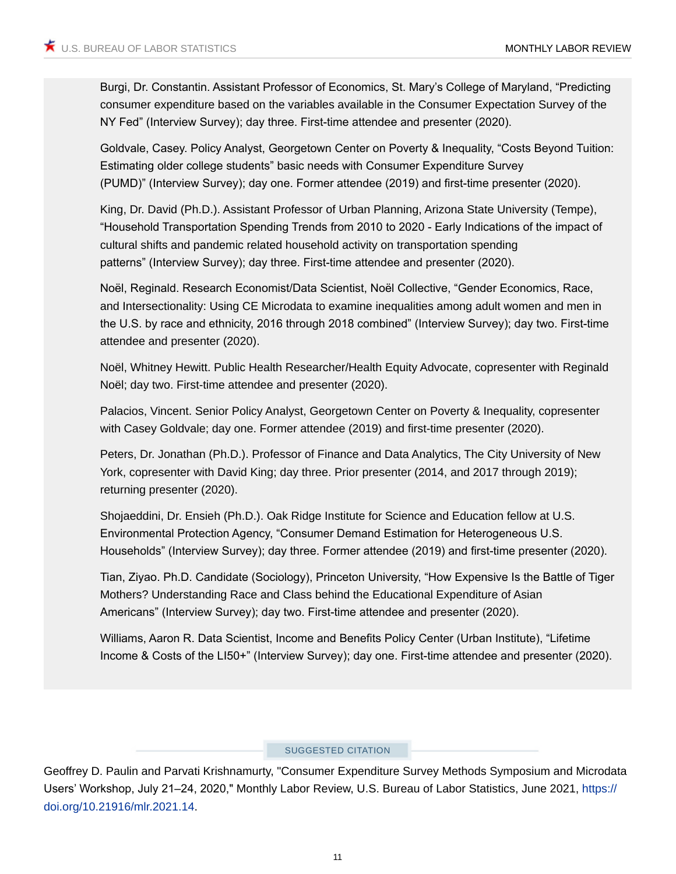Burgi, Dr. Constantin. Assistant Professor of Economics, St. Mary's College of Maryland, "Predicting consumer expenditure based on the variables available in the Consumer Expectation Survey of the NY Fed" (Interview Survey); day three. First-time attendee and presenter (2020).

Goldvale, Casey. Policy Analyst, Georgetown Center on Poverty & Inequality, "Costs Beyond Tuition: Estimating older college students" basic needs with Consumer Expenditure Survey (PUMD)" (Interview Survey); day one. Former attendee (2019) and first-time presenter (2020).

King, Dr. David (Ph.D.). Assistant Professor of Urban Planning, Arizona State University (Tempe), "Household Transportation Spending Trends from 2010 to 2020 - Early Indications of the impact of cultural shifts and pandemic related household activity on transportation spending patterns" (Interview Survey); day three. First-time attendee and presenter (2020).

Noël, Reginald. Research Economist/Data Scientist, Noël Collective, "Gender Economics, Race, and Intersectionality: Using CE Microdata to examine inequalities among adult women and men in the U.S. by race and ethnicity, 2016 through 2018 combined" (Interview Survey); day two. First-time attendee and presenter (2020).

Noël, Whitney Hewitt. Public Health Researcher/Health Equity Advocate, copresenter with Reginald Noël; day two. First-time attendee and presenter (2020).

Palacios, Vincent. Senior Policy Analyst, Georgetown Center on Poverty & Inequality, copresenter with Casey Goldvale; day one. Former attendee (2019) and first-time presenter (2020).

Peters, Dr. Jonathan (Ph.D.). Professor of Finance and Data Analytics, The City University of New York, copresenter with David King; day three. Prior presenter (2014, and 2017 through 2019); returning presenter (2020).

Shojaeddini, Dr. Ensieh (Ph.D.). Oak Ridge Institute for Science and Education fellow at U.S. Environmental Protection Agency, "Consumer Demand Estimation for Heterogeneous U.S. Households" (Interview Survey); day three. Former attendee (2019) and first-time presenter (2020).

Tian, Ziyao. Ph.D. Candidate (Sociology), Princeton University, "How Expensive Is the Battle of Tiger Mothers? Understanding Race and Class behind the Educational Expenditure of Asian Americans" (Interview Survey); day two. First-time attendee and presenter (2020).

Williams, Aaron R. Data Scientist, Income and Benefits Policy Center (Urban Institute), "Lifetime Income & Costs of the LI50+" (Interview Survey); day one. First-time attendee and presenter (2020).

### SUGGESTED CITATION

Geoffrey D. Paulin and Parvati Krishnamurty, "Consumer Expenditure Survey Methods Symposium and Microdata Users' Workshop, July 21–24, 2020," *Monthly Labor Review,* U.S. Bureau of Labor Statistics, June 2021, [https://](https://doi.org/10.21916/mlr.2021.14)  [doi.org/10.21916/mlr.2021.14](https://doi.org/10.21916/mlr.2021.14).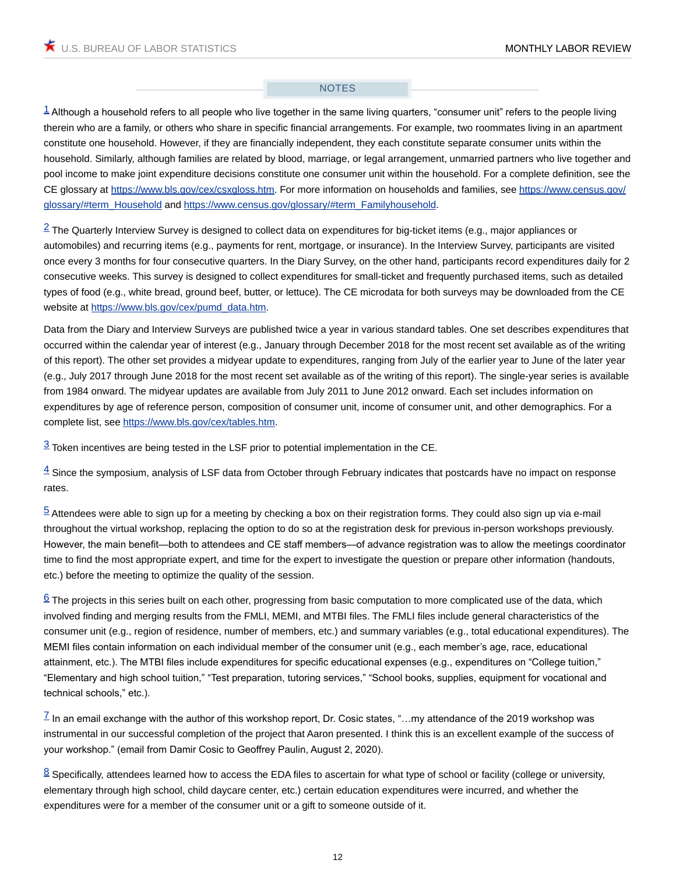### NOTES

<span id="page-11-0"></span> $1$  Although a household refers to all people who live together in the same living quarters, "consumer unit" refers to the people living therein who are a family, or others who share in specific financial arrangements. For example, two roommates living in an apartment constitute one household. However, if they are financially independent, they each constitute separate consumer units within the household. Similarly, although families are related by blood, marriage, or legal arrangement, unmarried partners who live together and pool income to make joint expenditure decisions constitute one consumer unit within the household. For a complete definition, see the CE glossary at [https://www.bls.gov/cex/csxgloss.htm.](https://www.bls.gov/cex/csxgloss.htm) For more information on households and families, see [https://www.census.gov/](https://www.census.gov/glossary/#term_Household) [glossary/#term\\_Household](https://www.census.gov/glossary/#term_Household) and [https://www.census.gov/glossary/#term\\_Familyhousehold](https://www.census.gov/glossary/#term_Familyhousehold).

<span id="page-11-1"></span> $2$  The Quarterly Interview Survey is designed to collect data on expenditures for big-ticket items (e.g., major appliances or automobiles) and recurring items (e.g., payments for rent, mortgage, or insurance). In the Interview Survey, participants are visited once every 3 months for four consecutive quarters. In the Diary Survey, on the other hand, participants record expenditures daily for 2 consecutive weeks. This survey is designed to collect expenditures for small-ticket and frequently purchased items, such as detailed types of food (e.g., white bread, ground beef, butter, or lettuce). The CE microdata for both surveys may be downloaded from the CE website at [https://www.bls.gov/cex/pumd\\_data.htm](https://www.bls.gov/cex/pumd_data.htm).

Data from the Diary and Interview Surveys are published twice a year in various standard tables. One set describes expenditures that occurred within the calendar year of interest (e.g., January through December 2018 for the most recent set available as of the writing of this report). The other set provides a midyear update to expenditures, ranging from July of the earlier year to June of the later year (e.g., July 2017 through June 2018 for the most recent set available as of the writing of this report). The single-year series is available from 1984 onward. The midyear updates are available from July 2011 to June 2012 onward. Each set includes information on expenditures by age of reference person, composition of consumer unit, income of consumer unit, and other demographics. For a complete list, see <https://www.bls.gov/cex/tables.htm>.

<span id="page-11-2"></span> $3$  Token incentives are being tested in the LSF prior to potential implementation in the CE.

<span id="page-11-3"></span> $\frac{4}{3}$  Since the symposium, analysis of LSF data from October through February indicates that postcards have no impact on response rates.

<span id="page-11-4"></span> $5$  Attendees were able to sign up for a meeting by checking a box on their registration forms. They could also sign up via e-mail throughout the virtual workshop, replacing the option to do so at the registration desk for previous in-person workshops previously. However, the main benefit—both to attendees and CE staff members—of advance registration was to allow the meetings coordinator time to find the most appropriate expert, and time for the expert to investigate the question or prepare other information (handouts, etc.) before the meeting to optimize the quality of the session.

<span id="page-11-5"></span> $6$  The projects in this series built on each other, progressing from basic computation to more complicated use of the data, which involved finding and merging results from the FMLI, MEMI, and MTBI files. The FMLI files include general characteristics of the consumer unit (e.g., region of residence, number of members, etc.) and summary variables (e.g., total educational expenditures). The MEMI files contain information on each individual member of the consumer unit (e.g., each member's age, race, educational attainment, etc.). The MTBI files include expenditures for specific educational expenses (e.g., expenditures on "College tuition," "Elementary and high school tuition," "Test preparation, tutoring services," "School books, supplies, equipment for vocational and technical schools," etc.).

<span id="page-11-6"></span> $\mathbb Z$  In an email exchange with the author of this workshop report, Dr. Cosic states, "...my attendance of the 2019 workshop was instrumental in our successful completion of the project that Aaron presented. I think this is an excellent example of the success of your workshop." (email from Damir Cosic to Geoffrey Paulin, August 2, 2020).

<span id="page-11-7"></span> $8$  Specifically, attendees learned how to access the EDA files to ascertain for what type of school or facility (college or university, elementary through high school, child daycare center, etc.) certain education expenditures were incurred, and whether the expenditures were for a member of the consumer unit or a gift to someone outside of it.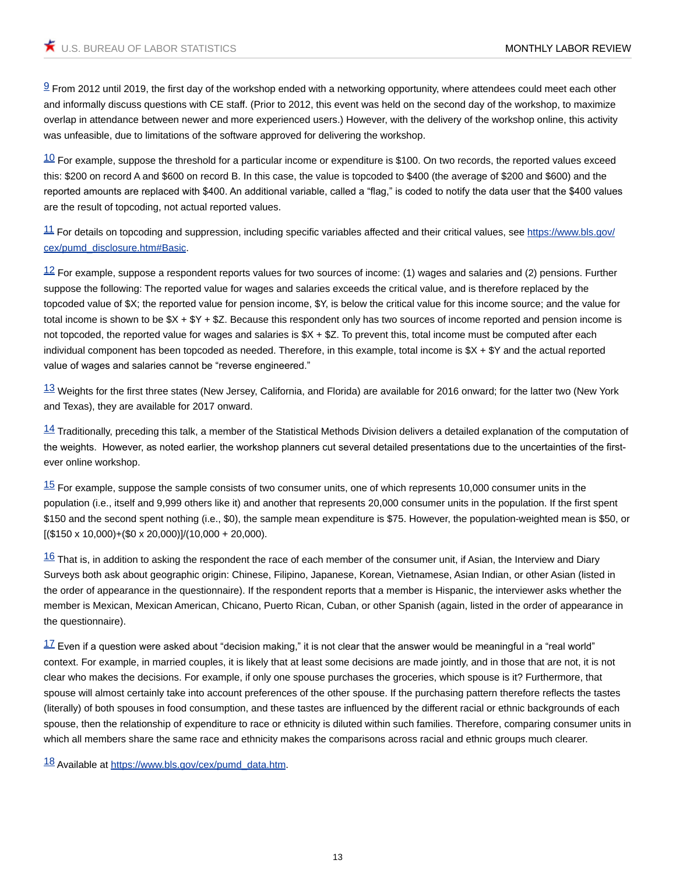<span id="page-12-0"></span> $9$  From 2012 until 2019, the first day of the workshop ended with a networking opportunity, where attendees could meet each other and informally discuss questions with CE staff. (Prior to 2012, this event was held on the second day of the workshop, to maximize overlap in attendance between newer and more experienced users.) However, with the delivery of the workshop online, this activity was unfeasible, due to limitations of the software approved for delivering the workshop.

<span id="page-12-1"></span> $\frac{10}{10}$  For example, suppose the threshold for a particular income or expenditure is \$100. On two records, the reported values exceed this: \$200 on record A and \$600 on record B. In this case, the value is topcoded to \$400 (the average of \$200 and \$600) and the reported amounts are replaced with \$400. An additional variable, called a "flag," is coded to notify the data user that the \$400 values are the result of topcoding, not actual reported values.

<span id="page-12-2"></span>[11](#page-3-4) For details on topcoding and suppression, including specific variables affected and their critical values, see [https://www.bls.gov/](https://www.bls.gov/cex/pumd_disclosure.htm#Basic) [cex/pumd\\_disclosure.htm#Basic.](https://www.bls.gov/cex/pumd_disclosure.htm#Basic)

<span id="page-12-3"></span> $12$  For example, suppose a respondent reports values for two sources of income: (1) wages and salaries and (2) pensions. Further suppose the following: The reported value for wages and salaries exceeds the critical value, and is therefore replaced by the topcoded value of \$X; the reported value for pension income, \$Y, is below the critical value for this income source; and the value for total income is shown to be  $X + Y + Z$ . Because this respondent only has two sources of income reported and pension income is not topcoded, the reported value for wages and salaries is  $X + Z$ . To prevent this, total income must be computed after each individual component has been topcoded as needed. Therefore, in this example, total income is \$X + \$Y and the actual reported value of wages and salaries cannot be "reverse engineered."

<span id="page-12-4"></span> $13$  Weights for the first three states (New Jersey, California, and Florida) are available for 2016 onward; for the latter two (New York and Texas), they are available for 2017 onward.

<span id="page-12-5"></span> $14$  Traditionally, preceding this talk, a member of the Statistical Methods Division delivers a detailed explanation of the computation of the weights. However, as noted earlier, the workshop planners cut several detailed presentations due to the uncertainties of the firstever online workshop.

<span id="page-12-6"></span> $15$  For example, suppose the sample consists of two consumer units, one of which represents 10,000 consumer units in the population (i.e., itself and 9,999 others like it) and another that represents 20,000 consumer units in the population. If the first spent \$150 and the second spent nothing (i.e., \$0), the sample mean expenditure is \$75. However, the population-weighted mean is \$50, or  $[(\$150 \times 10,000) + (\$0 \times 20,000)]/(10,000 + 20,000)$ .

<span id="page-12-7"></span> $16$  That is, in addition to asking the respondent the race of each member of the consumer unit, if Asian, the Interview and Diary Surveys both ask about geographic origin: Chinese, Filipino, Japanese, Korean, Vietnamese, Asian Indian, or other Asian (listed in the order of appearance in the questionnaire). If the respondent reports that a member is Hispanic, the interviewer asks whether the member is Mexican, Mexican American, Chicano, Puerto Rican, Cuban, or other Spanish (again, listed in the order of appearance in the questionnaire).

<span id="page-12-8"></span> $17$  Even if a question were asked about "decision making," it is not clear that the answer would be meaningful in a "real world" context. For example, in married couples, it is likely that at least some decisions are made jointly, and in those that are not, it is not clear who makes the decisions. For example, if only one spouse purchases the groceries, which spouse is it? Furthermore, that spouse will almost certainly take into account preferences of the other spouse. If the purchasing pattern therefore reflects the tastes (literally) of both spouses in food consumption, and these tastes are influenced by the different racial or ethnic backgrounds of each spouse, then the relationship of expenditure to race or ethnicity is diluted within such families. Therefore, comparing consumer units in which all members share the same race and ethnicity makes the comparisons across racial and ethnic groups much clearer.

<span id="page-12-9"></span>[18](#page-5-0) Available at [https://www.bls.gov/cex/pumd\\_data.htm.](https://www.bls.gov/cex/pumd_data.htm)